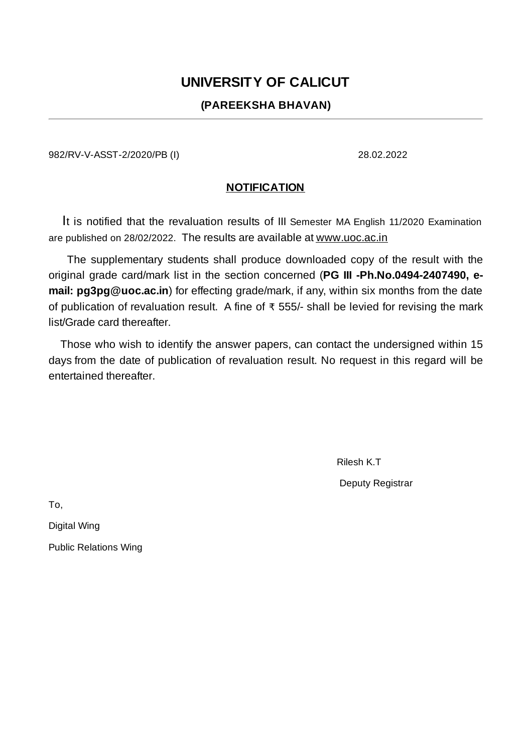# **UNIVERSITY OF CALICUT**

## **(PAREEKSHA BHAVAN)**

982/RV-V-ASST-2/2020/PB (I) 28.02.2022

### **NOTIFICATION**

It is notified that the revaluation results of III Semester MA English 11/2020 Examination are published on 28/02/2022. The results are available at www.uoc.ac.in

The supplementary students shall produce downloaded copy of the result with the original grade card/mark list in the section concerned (**PG III -Ph.No.0494-2407490, email: pg3pg@uoc.ac.in**) for effecting grade/mark, if any, within six months from the date of publication of revaluation result. A fine of ₹ 555/- shall be levied for revising the mark list/Grade card thereafter.

Those who wish to identify the answer papers, can contact the undersigned within 15 days from the date of publication of revaluation result. No request in this regard will be entertained thereafter.

Rilesh K.T

Deputy Registrar

To,

Digital Wing

Public Relations Wing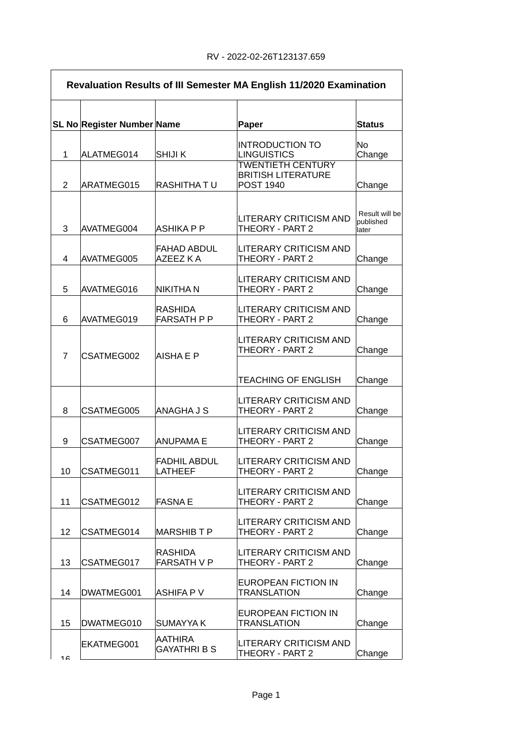| Revaluation Results of III Semester MA English 11/2020 Examination |                            |                                      |                                                                           |                                      |
|--------------------------------------------------------------------|----------------------------|--------------------------------------|---------------------------------------------------------------------------|--------------------------------------|
|                                                                    | SL No Register Number Name |                                      | Paper                                                                     | <b>Status</b>                        |
| 1                                                                  | ALATMEG014                 | <b>SHIJIK</b>                        | <b>INTRODUCTION TO</b><br><b>LINGUISTICS</b>                              | No<br>Change                         |
| $\overline{c}$                                                     | ARATMEG015                 | RASHITHATU                           | <b>TWENTIETH CENTURY</b><br><b>BRITISH LITERATURE</b><br><b>POST 1940</b> | Change                               |
| 3                                                                  | AVATMEG004                 | <b>ASHIKA P P</b>                    | <b>LITERARY CRITICISM AND</b><br>THEORY - PART 2                          | Result will be<br>published<br>later |
| 4                                                                  | AVATMEG005                 | <b>FAHAD ABDUL</b><br>AZEEZ KA       | <b>LITERARY CRITICISM AND</b><br>THEORY - PART 2                          | Change                               |
| 5                                                                  | AVATMEG016                 | NIKITHA N                            | <b>LITERARY CRITICISM AND</b><br>THEORY - PART 2                          | Change                               |
| 6                                                                  | AVATMEG019                 | <b>RASHIDA</b><br><b>FARSATH P P</b> | <b>LITERARY CRITICISM AND</b><br>THEORY - PART 2                          | Change                               |
| $\overline{7}$                                                     | CSATMEG002                 | <b>AISHA E P</b>                     | <b>LITERARY CRITICISM AND</b><br>THEORY - PART 2                          | Change                               |
|                                                                    |                            |                                      | <b>TEACHING OF ENGLISH</b>                                                | Change                               |
| 8                                                                  | CSATMEG005                 | <b>ANAGHA J S</b>                    | <b>LITERARY CRITICISM AND</b><br>THEORY - PART 2                          | Change                               |
| 9                                                                  | CSATMEG007                 | <b>ANUPAMAE</b>                      | <b>LITERARY CRITICISM AND</b><br>THEORY - PART 2                          | Change                               |
| 10                                                                 | ICSATMEG011                | <b>FADHIL ABDUL</b><br>LATHEEF       | <b>LITERARY CRITICISM AND</b><br>THEORY - PART 2                          | Change                               |
| 11                                                                 | CSATMEG012                 | <b>FASNAE</b>                        | <b>LITERARY CRITICISM AND</b><br>THEORY - PART 2                          | Change                               |
| 12                                                                 | CSATMEG014                 | <b>MARSHIBTP</b>                     | <b>LITERARY CRITICISM AND</b><br>THEORY - PART 2                          | Change                               |
| 13                                                                 | CSATMEG017                 | <b>RASHIDA</b><br><b>FARSATH V P</b> | <b>LITERARY CRITICISM AND</b><br>THEORY - PART 2                          | Change                               |
| 14                                                                 | DWATMEG001                 | <b>ASHIFA PV</b>                     | EUROPEAN FICTION IN<br><b>TRANSLATION</b>                                 | Change                               |
| 15                                                                 | DWATMEG010                 | SUMAYYA K                            | EUROPEAN FICTION IN<br><b>TRANSLATION</b>                                 | Change                               |
| 1 ፎ                                                                | EKATMEG001                 | AATHIRA<br><b>GAYATHRI B S</b>       | LITERARY CRITICISM AND<br>THEORY - PART 2                                 | Change                               |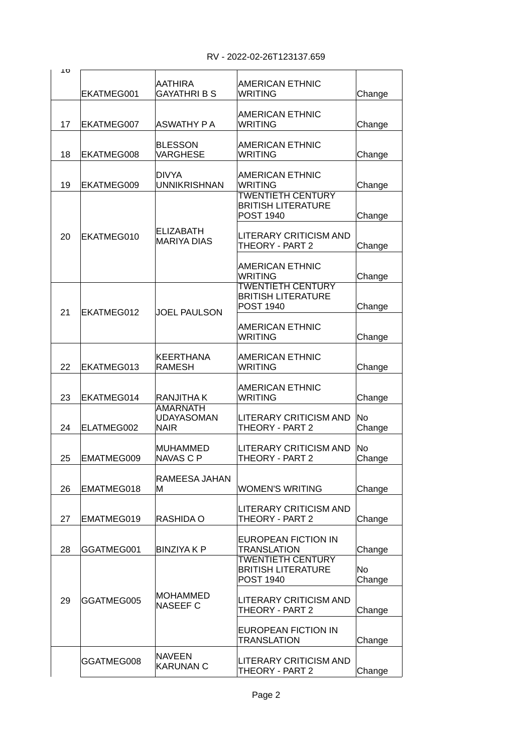| ΤO |            |                                                     |                                                                           |                          |
|----|------------|-----------------------------------------------------|---------------------------------------------------------------------------|--------------------------|
|    | EKATMEG001 | <b>AATHIRA</b><br><b>GAYATHRI B S</b>               | AMERICAN ETHNIC<br><b>WRITING</b>                                         | Change                   |
|    |            |                                                     |                                                                           |                          |
| 17 | EKATMEG007 | <b>ASWATHY PA</b>                                   | <b>AMERICAN ETHNIC</b><br><b>WRITING</b>                                  | Change                   |
| 18 | EKATMEG008 | <b>BLESSON</b><br><b>VARGHESE</b>                   | <b>AMERICAN ETHNIC</b><br><b>WRITING</b>                                  | Change                   |
| 19 | EKATMEG009 | DIVYA<br><b>UNNIKRISHNAN</b>                        | <b>AMERICAN ETHNIC</b><br>WRITING                                         | Change                   |
|    |            |                                                     | <b>TWENTIETH CENTURY</b><br><b>BRITISH LITERATURE</b><br><b>POST 1940</b> | Change                   |
| 20 | EKATMEG010 | <b>ELIZABATH</b><br><b>MARIYA DIAS</b>              | <b>LITERARY CRITICISM AND</b><br>THEORY - PART 2                          | Change                   |
|    |            |                                                     | <b>AMERICAN ETHNIC</b><br><b>WRITING</b>                                  | Change                   |
| 21 | EKATMEG012 | <b>JOEL PAULSON</b>                                 | <b>TWENTIETH CENTURY</b><br><b>BRITISH LITERATURE</b><br><b>POST 1940</b> | Change                   |
|    |            |                                                     | <b>AMERICAN ETHNIC</b><br><b>WRITING</b>                                  | Change                   |
| 22 | EKATMEG013 | KEERTHANA<br><b>RAMESH</b>                          | <b>AMERICAN ETHNIC</b><br><b>WRITING</b>                                  | Change                   |
| 23 | EKATMEG014 | RANJITHA K                                          | <b>AMERICAN ETHNIC</b><br><b>WRITING</b>                                  | Change                   |
| 24 | ELATMEG002 | <b>AMARNATH</b><br><b>UDAYASOMAN</b><br><b>NAIR</b> | <b>LITERARY CRITICISM AND</b><br>THEORY - PART 2                          | No<br>Change             |
| 25 | EMATMEG009 | <b>MUHAMMED</b><br><b>NAVAS C P</b>                 | <b>LITERARY CRITICISM AND</b><br>THEORY - PART 2                          | N <sub>0</sub><br>Change |
| 26 | EMATMEG018 | <b>RAMEESA JAHAN</b><br>M                           | <b>WOMEN'S WRITING</b>                                                    | Change                   |
| 27 | EMATMEG019 | IRASHIDA O                                          | <b>LITERARY CRITICISM AND</b><br>THEORY - PART 2                          | Change                   |
| 28 | GGATMEG001 | <b>BINZIYAK P</b>                                   | EUROPEAN FICTION IN<br><b>TRANSLATION</b>                                 | Change                   |
|    |            |                                                     | <b>TWENTIETH CENTURY</b><br><b>BRITISH LITERATURE</b><br><b>POST 1940</b> | No<br>Change             |
| 29 | GGATMEG005 | MOHAMMED<br><b>NASEEF C</b>                         | <b>LITERARY CRITICISM AND</b><br>THEORY - PART 2                          | Change                   |
|    |            |                                                     | EUROPEAN FICTION IN<br>TRANSLATION                                        | Change                   |
|    | GGATMEG008 | <b>NAVEEN</b><br><b>KARUNAN C</b>                   | <b>LITERARY CRITICISM AND</b><br>THEORY - PART 2                          | Change                   |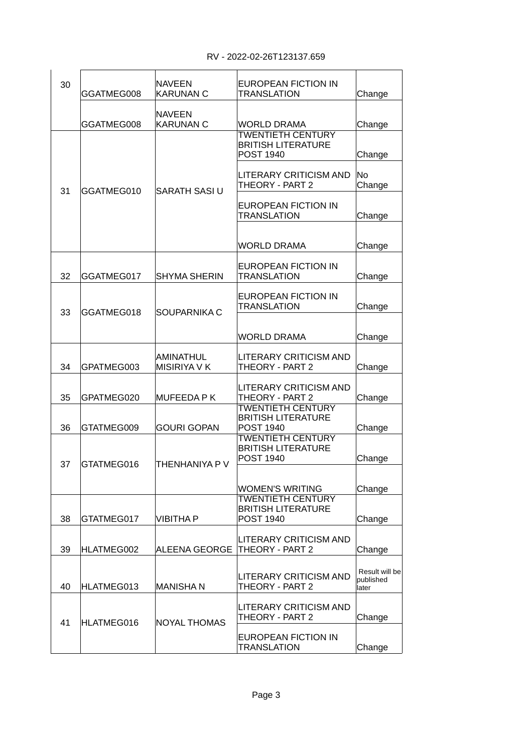| 30 | GGATMEG008 | <b>NAVEEN</b><br><b>KARUNAN C</b> | EUROPEAN FICTION IN<br>TRANSLATION                                        | Change                               |
|----|------------|-----------------------------------|---------------------------------------------------------------------------|--------------------------------------|
|    | GGATMEG008 | <b>NAVEEN</b><br><b>KARUNAN C</b> | <b>WORLD DRAMA</b>                                                        | Change                               |
|    |            |                                   | <b>TWENTIETH CENTURY</b><br><b>BRITISH LITERATURE</b><br><b>POST 1940</b> | Change                               |
| 31 | GGATMEG010 | <b>SARATH SASI U</b>              | LITERARY CRITICISM AND<br>THEORY - PART 2                                 | No<br>Change                         |
|    |            |                                   | EUROPEAN FICTION IN<br><b>TRANSLATION</b>                                 | Change                               |
|    |            |                                   | <b>WORLD DRAMA</b>                                                        | Change                               |
| 32 | GGATMEG017 | <b>SHYMA SHERIN</b>               | EUROPEAN FICTION IN<br>TRANSLATION                                        | Change                               |
| 33 | GGATMEG018 | SOUPARNIKA C                      | EUROPEAN FICTION IN<br><b>TRANSLATION</b>                                 | Change                               |
|    |            |                                   | <b>WORLD DRAMA</b>                                                        | Change                               |
| 34 | GPATMEG003 | AMINATHUL<br><b>MISIRIYA V K</b>  | <b>LITERARY CRITICISM AND</b><br>THEORY - PART 2                          | Change                               |
| 35 | GPATMEG020 | <b>MUFEEDA P K</b>                | <b>LITERARY CRITICISM AND</b><br>THEORY - PART 2                          | Change                               |
| 36 | GTATMEG009 | <b>GOURI GOPAN</b>                | <b>TWENTIETH CENTURY</b><br><b>BRITISH LITERATURE</b><br><b>POST 1940</b> | Change                               |
| 37 | GTATMEG016 | THENHANIYA P V                    | <b>TWENTIETH CENTURY</b><br><b>BRITISH LITERATURE</b><br><b>POST 1940</b> | Change                               |
|    |            |                                   | <b>WOMEN'S WRITING</b>                                                    | Change                               |
| 38 | GTATMEG017 | <b>VIBITHA P</b>                  | <b>TWENTIETH CENTURY</b><br><b>BRITISH LITERATURE</b><br><b>POST 1940</b> | Change                               |
| 39 | HLATMEG002 | <b>ALEENA GEORGE</b>              | LITERARY CRITICISM AND<br>THEORY - PART 2                                 | Change                               |
| 40 | HLATMEG013 | <b>MANISHAN</b>                   | <b>LITERARY CRITICISM AND</b><br>THEORY - PART 2                          | Result will be<br>published<br>later |
| 41 | HLATMEG016 | <b>NOYAL THOMAS</b>               | <b>LITERARY CRITICISM AND</b><br>THEORY - PART 2                          | Change                               |
|    |            |                                   | EUROPEAN FICTION IN<br>TRANSLATION                                        | Change                               |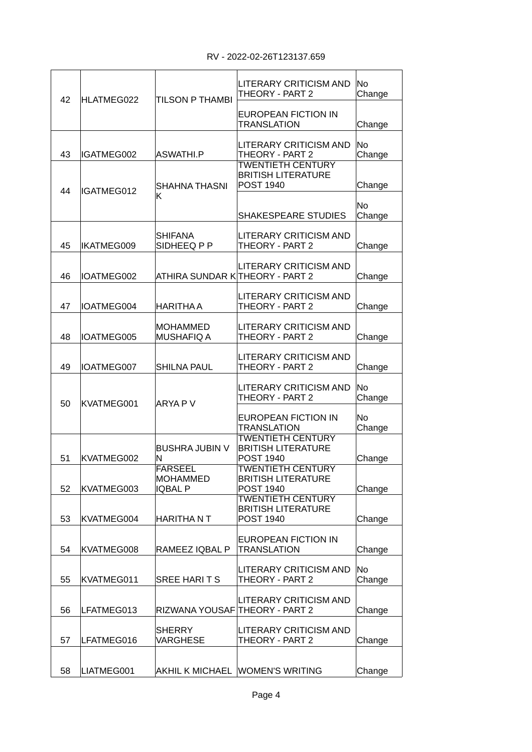| 42 | HLATMEG022 | <b>TILSON P THAMBI</b>                              | <b>LITERARY CRITICISM AND</b><br>THEORY - PART 2                          | No<br>Change             |
|----|------------|-----------------------------------------------------|---------------------------------------------------------------------------|--------------------------|
|    |            |                                                     | EUROPEAN FICTION IN<br><b>TRANSLATION</b>                                 | Change                   |
| 43 | IGATMEG002 | <b>ASWATHI.P</b>                                    | <b>LITERARY CRITICISM AND</b><br>THEORY - PART 2                          | No<br>Change             |
| 44 | IGATMEG012 | <b>SHAHNA THASNI</b>                                | <b>TWENTIETH CENTURY</b><br><b>BRITISH LITERATURE</b><br><b>POST 1940</b> | Change                   |
|    |            | Κ                                                   | SHAKESPEARE STUDIES                                                       | N <sub>o</sub><br>Change |
| 45 | IKATMEG009 | <b>SHIFANA</b><br>SIDHEEQ P P                       | <b>LITERARY CRITICISM AND</b><br>THEORY - PART 2                          | Change                   |
| 46 | IOATMEG002 | ATHIRA SUNDAR K THEORY - PART 2                     | LITERARY CRITICISM AND                                                    | Change                   |
| 47 | IOATMEG004 | HARITHA A                                           | <b>LITERARY CRITICISM AND</b><br>THEORY - PART 2                          | Change                   |
| 48 | IOATMEG005 | <b>MOHAMMED</b><br><b>MUSHAFIQ A</b>                | <b>LITERARY CRITICISM AND</b><br>THEORY - PART 2                          | Change                   |
| 49 | IOATMEG007 | <b>SHILNA PAUL</b>                                  | <b>LITERARY CRITICISM AND</b><br>THEORY - PART 2                          | Change                   |
| 50 | KVATMEG001 | ARYA P V                                            | <b>LITERARY CRITICISM AND</b><br>THEORY - PART 2                          | No<br>Change             |
|    |            |                                                     | EUROPEAN FICTION IN<br><b>TRANSLATION</b>                                 | <b>No</b><br>Change      |
| 51 | KVATMEG002 | <b>BUSHRA JUBIN V</b><br>N                          | <b>TWENTIETH CENTURY</b><br><b>BRITISH LITERATURE</b><br><b>POST 1940</b> | Change                   |
| 52 | KVATMEG003 | <b>FARSEEL</b><br><b>MOHAMMED</b><br><b>IQBAL P</b> | <b>TWENTIETH CENTURY</b><br><b>BRITISH LITERATURE</b><br><b>POST 1940</b> | Change                   |
| 53 | KVATMEG004 | HARITHA N T                                         | <b>TWENTIETH CENTURY</b><br><b>BRITISH LITERATURE</b><br><b>POST 1940</b> | Change                   |
| 54 | KVATMEG008 | RAMEEZ IQBAL P                                      | EUROPEAN FICTION IN<br><b>TRANSLATION</b>                                 | Change                   |
| 55 | KVATMEG011 | SREE HARITS                                         | LITERARY CRITICISM AND<br>THEORY - PART 2                                 | <b>No</b><br>Change      |
| 56 | LFATMEG013 | RIZWANA YOUSAF THEORY - PART 2                      | <b>LITERARY CRITICISM AND</b>                                             | Change                   |
| 57 | LFATMEG016 | <b>SHERRY</b><br><b>VARGHESE</b>                    | <b>LITERARY CRITICISM AND</b><br>THEORY - PART 2                          | Change                   |
| 58 | LIATMEG001 |                                                     | AKHIL K MICHAEL WOMEN'S WRITING                                           | Change                   |
|    |            |                                                     |                                                                           |                          |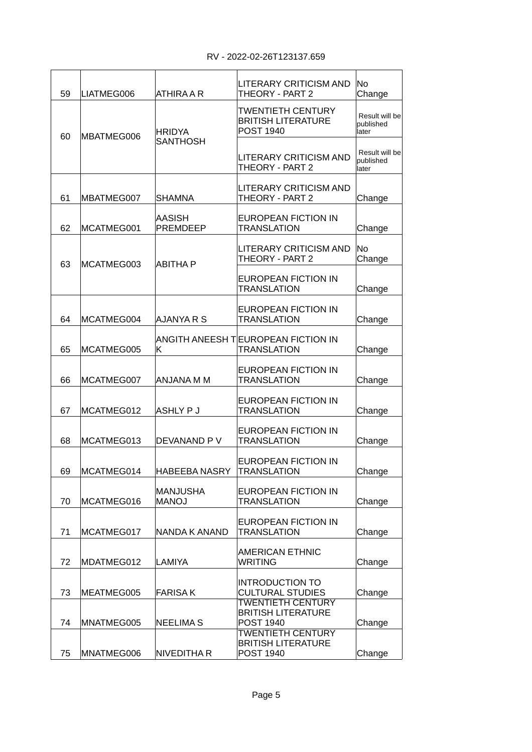| 59 | LIATMEG006 | ATHIRA A R                      | <b>LITERARY CRITICISM AND</b><br>THEORY - PART 2                          | No<br>Change                         |
|----|------------|---------------------------------|---------------------------------------------------------------------------|--------------------------------------|
| 60 | MBATMEG006 | <b>HRIDYA</b>                   | TWENTIETH CENTURY<br><b>BRITISH LITERATURE</b><br><b>POST 1940</b>        | Result will be<br>published<br>later |
|    |            | <b>SANTHOSH</b>                 | <b>LITERARY CRITICISM AND</b><br>THEORY - PART 2                          | Result will be<br>published<br>later |
| 61 | MBATMEG007 | <b>SHAMNA</b>                   | <b>LITERARY CRITICISM AND</b><br>THEORY - PART 2                          | Change                               |
| 62 | MCATMEG001 | AASISH<br><b>PREMDEEP</b>       | EUROPEAN FICTION IN<br>TRANSLATION                                        | Change                               |
| 63 | MCATMEG003 | <b>ABITHA P</b>                 | LITERARY CRITICISM AND<br>THEORY - PART 2                                 | <b>No</b><br>Change                  |
|    |            |                                 | EUROPEAN FICTION IN<br><b>TRANSLATION</b>                                 | Change                               |
| 64 | MCATMEG004 | AJANYA R S                      | EUROPEAN FICTION IN<br>TRANSLATION                                        | Change                               |
| 65 | MCATMEG005 | Κ                               | ANGITH ANEESH TEUROPEAN FICTION IN<br><b>TRANSLATION</b>                  | Change                               |
| 66 | MCATMEG007 | M M ANALIAN                     | EUROPEAN FICTION IN<br><b>TRANSLATION</b>                                 | Change                               |
| 67 | MCATMEG012 | ASHLY P J                       | EUROPEAN FICTION IN<br>TRANSLATION                                        | Change                               |
| 68 | MCATMEG013 | DEVANAND P V                    | EUROPEAN FICTION IN<br>TRANSLATION                                        | Change                               |
| 69 | MCATMEG014 | HABEEBA NASRY                   | EUROPEAN FICTION IN<br>TRANSLATION                                        | Change                               |
| 70 | MCATMEG016 | <b>MANJUSHA</b><br><b>MANOJ</b> | EUROPEAN FICTION IN<br><b>TRANSLATION</b>                                 | Change                               |
| 71 | MCATMEG017 | NANDA K ANAND                   | EUROPEAN FICTION IN<br><b>TRANSLATION</b>                                 | Change                               |
| 72 | MDATMEG012 | LAMIYA                          | <b>AMERICAN ETHNIC</b><br><b>WRITING</b>                                  | Change                               |
| 73 | MEATMEG005 | <b>FARISAK</b>                  | <b>INTRODUCTION TO</b><br><b>CULTURAL STUDIES</b>                         | Change                               |
| 74 | MNATMEG005 | <b>NEELIMAS</b>                 | <b>TWENTIETH CENTURY</b><br><b>BRITISH LITERATURE</b><br><b>POST 1940</b> | Change                               |
| 75 | MNATMEG006 | <b>NIVEDITHAR</b>               | <b>TWENTIETH CENTURY</b><br><b>BRITISH LITERATURE</b><br>POST 1940        | Change                               |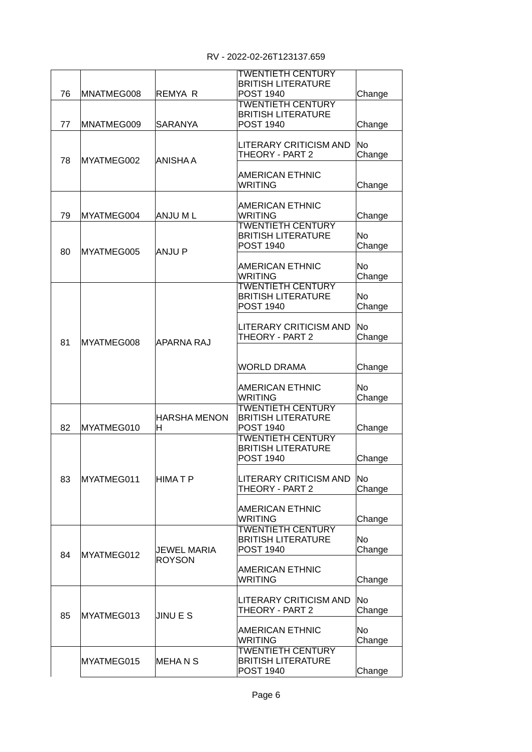|    |            |                     | <b>TWENTIETH CENTURY</b>                      |                |
|----|------------|---------------------|-----------------------------------------------|----------------|
|    |            |                     | <b>BRITISH LITERATURE</b>                     |                |
| 76 | MNATMEG008 | <b>REMYA R</b>      | <b>POST 1940</b>                              | Change         |
|    |            |                     | <b>TWENTIETH CENTURY</b>                      |                |
|    |            |                     | <b>BRITISH LITERATURE</b>                     |                |
| 77 | MNATMEG009 | <b>SARANYA</b>      | <b>POST 1940</b>                              | Change         |
|    |            |                     |                                               |                |
|    |            |                     |                                               |                |
|    |            |                     | <b>LITERARY CRITICISM AND</b>                 | No             |
| 78 | MYATMEG002 | <b>ANISHAA</b>      | THEORY - PART 2                               | Change         |
|    |            |                     |                                               |                |
|    |            |                     | <b>AMERICAN ETHNIC</b>                        |                |
|    |            |                     | <b>WRITING</b>                                | Change         |
|    |            |                     |                                               |                |
|    |            |                     | <b>AMERICAN ETHNIC</b>                        |                |
|    |            |                     |                                               |                |
| 79 | MYATMEG004 | ANJU ML             | <b>WRITING</b>                                | Change         |
|    |            |                     | <b>TWENTIETH CENTURY</b>                      |                |
|    |            |                     | <b>BRITISH LITERATURE</b>                     | N <sub>0</sub> |
|    |            |                     | <b>POST 1940</b>                              | Change         |
| 80 | MYATMEG005 | <b>ANJU P</b>       |                                               |                |
|    |            |                     | <b>AMERICAN ETHNIC</b>                        | N <sub>o</sub> |
|    |            |                     | <b>WRITING</b>                                | Change         |
|    |            |                     | <b>TWENTIETH CENTURY</b>                      |                |
|    |            |                     |                                               |                |
|    |            |                     | <b>BRITISH LITERATURE</b>                     | <b>No</b>      |
|    |            |                     | <b>POST 1940</b>                              | Change         |
|    |            |                     |                                               |                |
|    |            |                     | <b>LITERARY CRITICISM AND</b>                 | No             |
|    |            |                     | THEORY - PART 2                               | Change         |
| 81 | MYATMEG008 | APARNA RAJ          |                                               |                |
|    |            |                     |                                               |                |
|    |            |                     |                                               |                |
|    |            |                     | <b>WORLD DRAMA</b>                            | Change         |
|    |            |                     |                                               |                |
|    |            |                     | <b>AMERICAN ETHNIC</b>                        | No             |
|    |            |                     | <b>WRITING</b>                                | Change         |
|    |            |                     | <b>TWENTIETH CENTURY</b>                      |                |
|    |            | <b>HARSHA MENON</b> | <b>BRITISH LITERATURE</b>                     |                |
| 82 | MYATMEG010 | Η                   | <b>POST 1940</b>                              | Change         |
|    |            |                     | <b>TWENTIETH CENTURY</b>                      |                |
|    |            |                     |                                               |                |
|    |            |                     | <b>BRITISH LITERATURE</b>                     |                |
|    |            |                     | <b>POST 1940</b>                              | Change         |
|    |            |                     |                                               |                |
| 83 | MYATMEG011 | <b>HIMATP</b>       | <b>LITERARY CRITICISM AND</b>                 | No             |
|    |            |                     | THEORY - PART 2                               | Change         |
|    |            |                     |                                               |                |
|    |            |                     | <b>AMERICAN ETHNIC</b>                        |                |
|    |            |                     | WRITING                                       | Change         |
|    |            |                     | <b>TWENTIETH CENTURY</b>                      |                |
|    |            |                     |                                               |                |
|    |            |                     | <b>BRITISH LITERATURE</b>                     | N <sub>o</sub> |
| 84 | MYATMEG012 | <b>JEWEL MARIA</b>  | <b>POST 1940</b>                              | Change         |
|    |            | <b>ROYSON</b>       |                                               |                |
|    |            |                     | <b>AMERICAN ETHNIC</b>                        |                |
|    |            |                     | <b>WRITING</b>                                | Change         |
|    |            |                     |                                               |                |
|    |            |                     | <b>LITERARY CRITICISM AND</b>                 | No             |
|    |            |                     | THEORY - PART 2                               | Change         |
|    |            |                     |                                               |                |
| 85 | MYATMEG013 | JINU E S            |                                               |                |
|    |            |                     |                                               |                |
|    |            |                     | <b>AMERICAN ETHNIC</b>                        | No             |
|    |            |                     | <b>WRITING</b>                                | Change         |
|    |            |                     | <b>TWENTIETH CENTURY</b>                      |                |
|    |            |                     |                                               |                |
|    | MYATMEG015 | IMEHA N S           | <b>BRITISH LITERATURE</b><br><b>POST 1940</b> | Change         |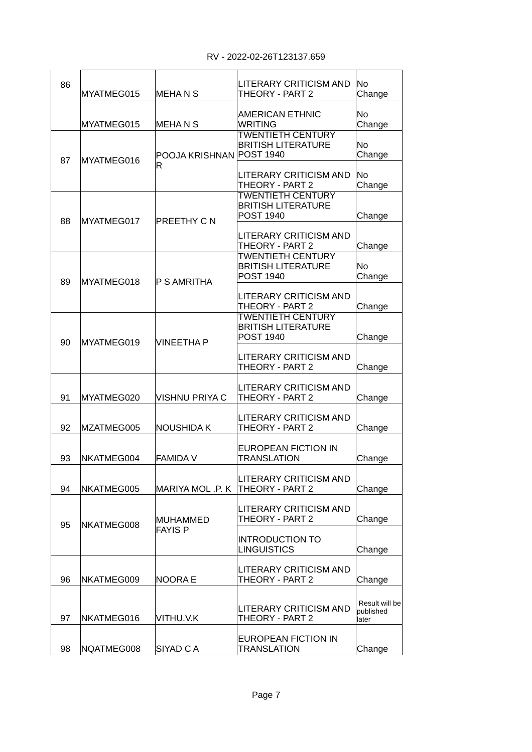| 86 | MYATMEG015 | <b>MEHANS</b>            | <b>LITERARY CRITICISM AND</b><br>THEORY - PART 2                          | N <sub>0</sub><br>Change             |
|----|------------|--------------------------|---------------------------------------------------------------------------|--------------------------------------|
|    | MYATMEG015 | <b>MEHANS</b>            | <b>AMERICAN ETHNIC</b><br><b>WRITING</b>                                  | No<br>Change                         |
| 87 | MYATMEG016 | POOJA KRISHNAN POST 1940 | <b>TWENTIETH CENTURY</b><br><b>BRITISH LITERATURE</b>                     | No<br>Change                         |
|    |            | R                        | <b>LITERARY CRITICISM AND</b><br>THEORY - PART 2                          | N <sub>0</sub><br>Change             |
| 88 | MYATMEG017 | PREETHY C N              | <b>TWENTIETH CENTURY</b><br><b>BRITISH LITERATURE</b><br><b>POST 1940</b> | Change                               |
|    |            |                          | <b>LITERARY CRITICISM AND</b><br>THEORY - PART 2                          | Change                               |
| 89 | MYATMEG018 | <b>P S AMRITHA</b>       | <b>TWENTIETH CENTURY</b><br><b>BRITISH LITERATURE</b><br><b>POST 1940</b> | <b>No</b><br>Change                  |
|    |            |                          | <b>LITERARY CRITICISM AND</b><br>THEORY - PART 2                          | Change                               |
| 90 | MYATMEG019 | <b>VINEETHA P</b>        | <b>TWENTIETH CENTURY</b><br><b>BRITISH LITERATURE</b><br><b>POST 1940</b> | Change                               |
|    |            |                          | <b>LITERARY CRITICISM AND</b><br>THEORY - PART 2                          | Change                               |
| 91 | MYATMEG020 | <b>VISHNU PRIYA C</b>    | <b>LITERARY CRITICISM AND</b><br>THEORY - PART 2                          | Change                               |
| 92 | MZATMEG005 | <b>NOUSHIDAK</b>         | <b>LITERARY CRITICISM AND</b><br>THEORY - PART 2                          | Change                               |
| 93 | NKATMEG004 | <b>FAMIDA V</b>          | EUROPEAN FICTION IN<br>TRANSLATION                                        | Change                               |
| 94 | NKATMEG005 | MARIYA MOL .P. K         | <b>LITERARY CRITICISM AND</b><br>THEORY - PART 2                          | Change                               |
| 95 | NKATMEG008 | <b>MUHAMMED</b>          | <b>LITERARY CRITICISM AND</b><br>THEORY - PART 2                          | Change                               |
|    |            | <b>FAYIS P</b>           | <b>INTRODUCTION TO</b><br><b>LINGUISTICS</b>                              | Change                               |
| 96 | NKATMEG009 | <b>NOORAE</b>            | <b>LITERARY CRITICISM AND</b><br>THEORY - PART 2                          | Change                               |
| 97 | NKATMEG016 | VITHU.V.K                | <b>LITERARY CRITICISM AND</b><br>THEORY - PART 2                          | Result will be<br>published<br>later |
| 98 | NQATMEG008 | SIYAD CA                 | EUROPEAN FICTION IN<br><b>TRANSLATION</b>                                 | Change                               |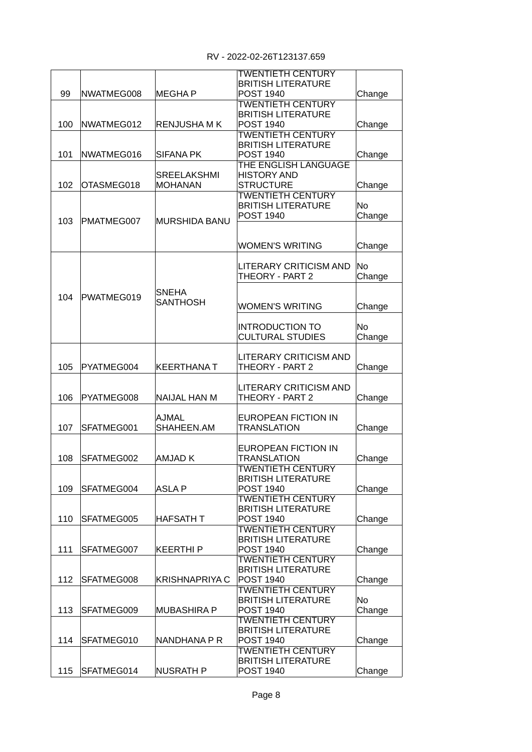| RV - 2022-02-26T123137.659 |  |  |  |
|----------------------------|--|--|--|
|----------------------------|--|--|--|

|     |            |                     | <b>TWENTIETH CENTURY</b>                      |                |
|-----|------------|---------------------|-----------------------------------------------|----------------|
|     |            |                     | <b>BRITISH LITERATURE</b>                     |                |
| 99  | NWATMEG008 | <b>MEGHAP</b>       | <b>POST 1940</b>                              | Change         |
|     |            |                     | <b>TWENTIETH CENTURY</b>                      |                |
|     |            |                     | <b>BRITISH LITERATURE</b>                     |                |
| 100 | NWATMEG012 | <b>RENJUSHA M K</b> | <b>POST 1940</b>                              | Change         |
|     |            |                     | <b>TWENTIETH CENTURY</b>                      |                |
|     |            |                     | <b>BRITISH LITERATURE</b>                     |                |
| 101 | NWATMEG016 | SIFANA PK           | <b>POST 1940</b>                              | Change         |
|     |            |                     | THE ENGLISH LANGUAGE                          |                |
|     |            | <b>SREELAKSHMI</b>  | <b>HISTORY AND</b>                            |                |
| 102 | OTASMEG018 | MOHANAN             | <b>STRUCTURE</b>                              | Change         |
|     |            |                     | <b>TWENTIETH CENTURY</b>                      |                |
|     |            |                     | <b>BRITISH LITERATURE</b>                     | <b>No</b>      |
| 103 | PMATMEG007 | MURSHIDA BANU       | <b>POST 1940</b>                              | Change         |
|     |            |                     |                                               |                |
|     |            |                     |                                               |                |
|     |            |                     | <b>WOMEN'S WRITING</b>                        | Change         |
|     |            |                     | <b>LITERARY CRITICISM AND</b>                 | <b>No</b>      |
|     |            |                     | THEORY - PART 2                               | Change         |
|     |            |                     |                                               |                |
| 104 | PWATMEG019 | <b>SNEHA</b>        |                                               |                |
|     |            | <b>SANTHOSH</b>     | <b>WOMEN'S WRITING</b>                        | Change         |
|     |            |                     |                                               |                |
|     |            |                     | <b>INTRODUCTION TO</b>                        | N <sub>o</sub> |
|     |            |                     | <b>CULTURAL STUDIES</b>                       | Change         |
|     |            |                     |                                               |                |
|     |            |                     | <b>LITERARY CRITICISM AND</b>                 |                |
| 105 | PYATMEG004 | <b>KEERTHANA T</b>  | THEORY - PART 2                               | Change         |
|     |            |                     |                                               |                |
|     |            |                     | <b>LITERARY CRITICISM AND</b>                 |                |
| 106 | PYATMEG008 | <b>NAIJAL HAN M</b> | THEORY - PART 2                               | Change         |
|     |            |                     |                                               |                |
|     |            | <b>AJMAL</b>        | EUROPEAN FICTION IN                           |                |
| 107 | SFATMEG001 | SHAHEEN.AM          | <b>TRANSLATION</b>                            | Change         |
|     |            |                     |                                               |                |
|     |            |                     | EUROPEAN FICTION IN                           |                |
| 108 | SFATMEG002 | <b>AMJAD K</b>      | TRANSLATION                                   | Change         |
|     |            |                     | TWENTIFTH CENTURY                             |                |
|     |            |                     | <b>BRITISH LITERATURE</b>                     |                |
| 109 | SFATMEG004 | ASLA P              | <b>POST 1940</b>                              | Change         |
|     |            |                     | <b>TWENTIETH CENTURY</b>                      |                |
|     |            |                     | <b>BRITISH LITERATURE</b>                     |                |
| 110 | SFATMEG005 | <b>HAFSATH T</b>    | <b>POST 1940</b>                              | Change         |
|     |            |                     | <b>TWENTIETH CENTURY</b>                      |                |
|     |            |                     | <b>BRITISH LITERATURE</b>                     |                |
| 111 | SFATMEG007 | KEERTHI P           | <b>POST 1940</b><br><b>TWENTIETH CENTURY</b>  | Change         |
|     |            |                     |                                               |                |
| 112 | SFATMEG008 | KRISHNAPRIYA C      | <b>BRITISH LITERATURE</b><br><b>POST 1940</b> | Change         |
|     |            |                     | <b>TWENTIETH CENTURY</b>                      |                |
|     |            |                     | <b>BRITISH LITERATURE</b>                     | <b>No</b>      |
| 113 | SFATMEG009 | <b>MUBASHIRA P</b>  | <b>POST 1940</b>                              | Change         |
|     |            |                     | <b>TWENTIETH CENTURY</b>                      |                |
|     |            |                     | <b>BRITISH LITERATURE</b>                     |                |
| 114 | SFATMEG010 | NANDHANA P R        | <b>POST 1940</b>                              | Change         |
|     |            |                     | <b>TWENTIETH CENTURY</b>                      |                |
|     |            |                     | <b>BRITISH LITERATURE</b>                     |                |
| 115 | SFATMEG014 | NUSRATH P           | <b>POST 1940</b>                              | Change         |
|     |            |                     |                                               |                |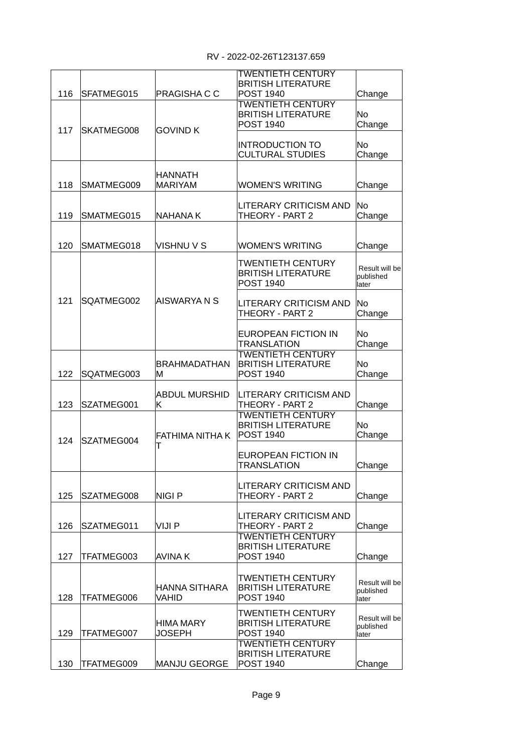| RV - 2022-02-26T123137.659 |
|----------------------------|
|----------------------------|

|     |            |                                  | <b>TWENTIETH CENTURY</b><br><b>BRITISH LITERATURE</b> |                    |
|-----|------------|----------------------------------|-------------------------------------------------------|--------------------|
| 116 | SFATMEG015 | PRAGISHA C C                     | <b>POST 1940</b>                                      | Change             |
|     |            |                                  | <b>TWENTIETH CENTURY</b>                              |                    |
|     |            |                                  | <b>BRITISH LITERATURE</b>                             | N <sub>0</sub>     |
|     |            |                                  | <b>POST 1940</b>                                      | Change             |
| 117 | SKATMEG008 | <b>GOVIND K</b>                  |                                                       |                    |
|     |            |                                  | <b>INTRODUCTION TO</b>                                | No                 |
|     |            |                                  | <b>CULTURAL STUDIES</b>                               | Change             |
|     |            |                                  |                                                       |                    |
| 118 | SMATMEG009 | <b>HANNATH</b><br><b>MARIYAM</b> | <b>WOMEN'S WRITING</b>                                |                    |
|     |            |                                  |                                                       | Change             |
|     |            |                                  | <b>LITERARY CRITICISM AND</b>                         | No                 |
| 119 | SMATMEG015 | NAHANA K                         | THEORY - PART 2                                       | Change             |
|     |            |                                  |                                                       |                    |
|     |            |                                  |                                                       |                    |
| 120 | SMATMEG018 | VISHNU V S                       | <b>WOMEN'S WRITING</b>                                | Change             |
|     |            |                                  |                                                       |                    |
|     |            |                                  | <b>TWENTIETH CENTURY</b><br><b>BRITISH LITERATURE</b> | Result will be     |
|     |            |                                  | <b>POST 1940</b>                                      | published<br>later |
|     |            |                                  |                                                       |                    |
| 121 | SQATMEG002 | AISWARYA N S                     | <b>LITERARY CRITICISM AND</b>                         | <b>No</b>          |
|     |            |                                  | THEORY - PART 2                                       | Change             |
|     |            |                                  |                                                       |                    |
|     |            |                                  | EUROPEAN FICTION IN                                   | N <sub>0</sub>     |
|     |            |                                  | TRANSLATION                                           | Change             |
|     |            |                                  | <b>TWENTIETH CENTURY</b>                              |                    |
| 122 | SQATMEG003 | <b>BRAHMADATHAN</b><br>Μ         | <b>BRITISH LITERATURE</b><br><b>POST 1940</b>         | No<br>Change       |
|     |            |                                  |                                                       |                    |
|     |            | <b>ABDUL MURSHID</b>             | <b>LITERARY CRITICISM AND</b>                         |                    |
| 123 | SZATMEG001 | K                                | THEORY - PART 2                                       | Change             |
|     |            |                                  | <b>TWENTIETH CENTURY</b>                              |                    |
|     |            |                                  | <b>BRITISH LITERATURE</b>                             | N <sub>0</sub>     |
| 124 | SZATMEG004 | FATHIMA NITHA K                  | <b>POST 1940</b>                                      | Change             |
|     |            | т                                |                                                       |                    |
|     |            |                                  | EUROPEAN FICTION IN                                   |                    |
|     |            |                                  | <b>TRANSLATION</b>                                    | Change             |
|     |            |                                  | LITERARY CRITICISM AND                                |                    |
| 125 | SZATMEG008 | NIGI P                           | THEORY - PART 2                                       | Change             |
|     |            |                                  |                                                       |                    |
|     |            |                                  | <b>LITERARY CRITICISM AND</b>                         |                    |
| 126 | SZATMEG011 | VIJI P                           | THEORY - PART 2                                       | Change             |
|     |            |                                  | TWENTIETH CENTURY                                     |                    |
|     |            |                                  | <b>BRITISH LITERATURE</b>                             |                    |
| 127 | TFATMEG003 | AVINA K                          | <b>POST 1940</b>                                      | Change             |
|     |            |                                  | TWENTIETH CENTURY                                     |                    |
|     |            | HANNA SITHARA                    | <b>BRITISH LITERATURE</b>                             | Result will be     |
| 128 | TFATMEG006 | VAHID                            | <b>POST 1940</b>                                      | published<br>later |
|     |            |                                  |                                                       |                    |
|     |            |                                  | TWENTIETH CENTURY                                     | Result will be     |
| 129 | TFATMEG007 | <b>HIMA MARY</b><br>JOSEPH       | <b>BRITISH LITERATURE</b><br><b>POST 1940</b>         | published          |
|     |            |                                  | <b>TWENTIETH CENTURY</b>                              | later              |
|     |            |                                  | <b>BRITISH LITERATURE</b>                             |                    |
| 130 | TFATMEG009 | MANJU GEORGE                     | <b>POST 1940</b>                                      | Change             |
|     |            |                                  |                                                       |                    |